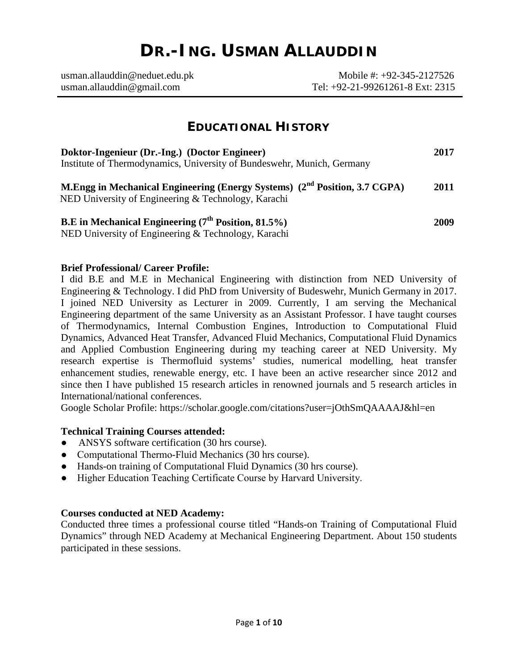# **DR.-ING. USMAN ALLAUDDIN**

| usman. allauddin@neduet.edu.ph | Mobile #: $+92-345-2127526$      |
|--------------------------------|----------------------------------|
| usman.allauddin@gmail.com      | Tel: +92-21-99261261-8 Ext: 2315 |

## **EDUCATIONAL HISTORY**

| Doktor-Ingenieur (Dr.-Ing.) (Doctor Engineer)                                                                                                 |      |  |  |
|-----------------------------------------------------------------------------------------------------------------------------------------------|------|--|--|
| Institute of Thermodynamics, University of Bundeswehr, Munich, Germany                                                                        |      |  |  |
| M.Engg in Mechanical Engineering (Energy Systems) (2 <sup>nd</sup> Position, 3.7 CGPA)<br>NED University of Engineering & Technology, Karachi | 2011 |  |  |
| B.E in Mechanical Engineering (7 <sup>th</sup> Position, 81.5%)<br>NED University of Engineering & Technology, Karachi                        | 2009 |  |  |

## **Brief Professional/ Career Profile:**

I did B.E and M.E in Mechanical Engineering with distinction from NED University of Engineering & Technology. I did PhD from University of Budeswehr, Munich Germany in 2017. I joined NED University as Lecturer in 2009. Currently, I am serving the Mechanical Engineering department of the same University as an Assistant Professor. I have taught courses of Thermodynamics, Internal Combustion Engines, Introduction to Computational Fluid Dynamics, Advanced Heat Transfer, Advanced Fluid Mechanics, Computational Fluid Dynamics and Applied Combustion Engineering during my teaching career at NED University. My research expertise is Thermofluid systems' studies, numerical modelling, heat transfer enhancement studies, renewable energy, etc. I have been an active researcher since 2012 and since then I have published 15 research articles in renowned journals and 5 research articles in International/national conferences.

Google Scholar Profile:<https://scholar.google.com/citations?user=jOthSmQAAAAJ&hl=en>

## **Technical Training Courses attended:**

- ANSYS software certification (30 hrs course).
- Computational Thermo-Fluid Mechanics (30 hrs course).
- Hands-on training of Computational Fluid Dynamics (30 hrs course).
- Higher Education Teaching Certificate Course by Harvard University.

#### **Courses conducted at NED Academy:**

Conducted three times a professional course titled "Hands-on Training of Computational Fluid Dynamics" through NED Academy at Mechanical Engineering Department. About 150 students participated in these sessions.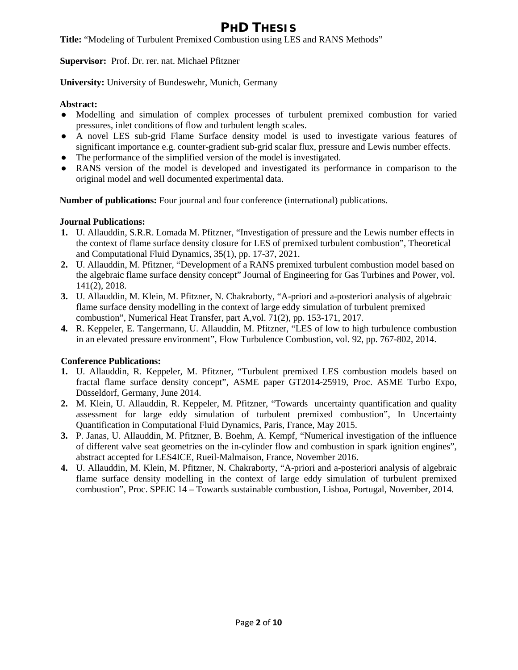## **PHD THESIS**

**Title:** "Modeling of Turbulent Premixed Combustion using LES and RANS Methods"

**Supervisor:** Prof. Dr. rer. nat. Michael Pfitzner

**University:** University of Bundeswehr, Munich, Germany

## **Abstract:**

- Modelling and simulation of complex processes of turbulent premixed combustion for varied pressures, inlet conditions of flow and turbulent length scales.
- A novel LES sub-grid Flame Surface density model is used to investigate various features of significant importance e.g. counter-gradient sub-grid scalar flux, pressure and Lewis number effects.
- The performance of the simplified version of the model is investigated.
- RANS version of the model is developed and investigated its performance in comparison to the original model and well documented experimental data.

**Number of publications:** Four journal and four conference (international) publications.

## **Journal Publications:**

- **1.** U. Allauddin, S.R.R. Lomada M. Pfitzner, "Investigation of pressure and the Lewis number effects in the context of flame surface density closure for LES of premixed turbulent combustion", Theoretical and Computational Fluid Dynamics, 35(1), pp. 17-37, 2021.
- **2.** U. Allauddin, M. Pfitzner, "Development of a RANS premixed turbulent combustion model based on the algebraic flame surface density concept" Journal of Engineering for Gas Turbines and Power, vol. 141(2), 2018.
- **3.** U. Allauddin, M. Klein, M. Pfitzner, N. Chakraborty, "A-priori and a-posteriori analysis of algebraic flame surface density modelling in the context of large eddy simulation of turbulent premixed combustion", Numerical Heat Transfer, part A,vol. 71(2), pp. 153-171, 2017.
- **4.** R. Keppeler, E. Tangermann, U. Allauddin, M. Pfitzner, "LES of low to high turbulence combustion in an elevated pressure environment", Flow Turbulence Combustion, vol. 92, pp. 767-802, 2014.

## **Conference Publications:**

- **1.** U. Allauddin, R. Keppeler, M. Pfitzner, "Turbulent premixed LES combustion models based on fractal flame surface density concept", ASME paper GT2014-25919, Proc. ASME Turbo Expo, Düsseldorf, Germany, June 2014.
- **2.** M. Klein, U. Allauddin, R. Keppeler, M. Pfitzner, "Towards uncertainty quantification and quality assessment for large eddy simulation of turbulent premixed combustion", In Uncertainty Quantification in Computational Fluid Dynamics, Paris, France, May 2015.
- **3.** P. Janas, U. Allauddin, M. Pfitzner, B. Boehm, A. Kempf, "Numerical investigation of the influence of different valve seat geometries on the in-cylinder flow and combustion in spark ignition engines", abstract accepted for LES4ICE, Rueil-Malmaison, France, November 2016.
- **4.** U. Allauddin, M. Klein, M. Pfitzner, N. Chakraborty, "A-priori and a-posteriori analysis of algebraic flame surface density modelling in the context of large eddy simulation of turbulent premixed combustion", Proc. SPEIC 14 – Towards sustainable combustion, Lisboa, Portugal, November, 2014.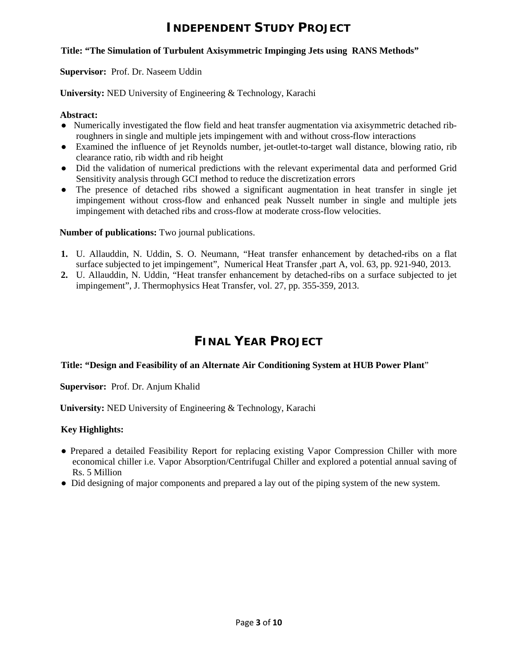## **INDEPENDENT STUDY PROJECT**

#### **Title: "The Simulation of Turbulent Axisymmetric Impinging Jets using RANS Methods"**

**Supervisor:** Prof. Dr. Naseem Uddin

**University:** NED University of Engineering & Technology, Karachi

#### **Abstract:**

- Numerically investigated the flow field and heat transfer augmentation via axisymmetric detached ribroughners in single and multiple jets impingement with and without cross-flow interactions
- Examined the influence of jet Reynolds number, jet-outlet-to-target wall distance, blowing ratio, rib clearance ratio, rib width and rib height
- Did the validation of numerical predictions with the relevant experimental data and performed Grid Sensitivity analysis through GCI method to reduce the discretization errors
- The presence of detached ribs showed a significant augmentation in heat transfer in single jet impingement without cross-flow and enhanced peak Nusselt number in single and multiple jets impingement with detached ribs and cross-flow at moderate cross-flow velocities.

#### **Number of publications:** Two journal publications.

- **1.** U. Allauddin, N. Uddin, S. O. Neumann, "Heat transfer enhancement by detached-ribs on a flat surface subjected to jet impingement", Numerical Heat Transfer ,part A, vol. 63, pp. 921-940, 2013.
- **2.** U. Allauddin, N. Uddin, "Heat transfer enhancement by detached-ribs on a surface subjected to jet impingement", J. Thermophysics Heat Transfer, vol. 27, pp. 355-359, 2013.

## **FINAL YEAR PROJECT**

#### **Title: "Design and Feasibility of an Alternate Air Conditioning System at HUB Power Plant**"

**Supervisor:** Prof. Dr. Anjum Khalid

**University:** NED University of Engineering & Technology, Karachi

#### **Key Highlights:**

- Prepared a detailed Feasibility Report for replacing existing Vapor Compression Chiller with more economical chiller i.e. Vapor Absorption/Centrifugal Chiller and explored a potential annual saving of Rs. 5 Million
- Did designing of major components and prepared a lay out of the piping system of the new system.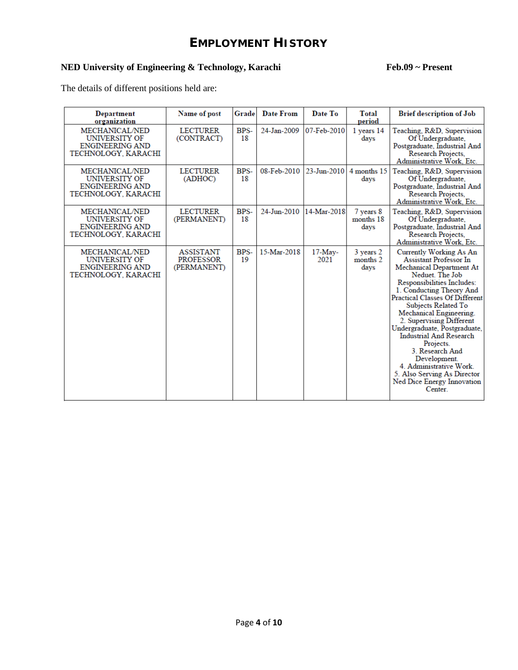## **EMPLOYMENT HISTORY**

## NED University of Engineering & Technology, Karachi Feb.09 ~ Present

The details of different positions held are:

| <b>Department</b><br>organization                                                       | Name of post                                        | Grade      | Date From   | Date To                  | Total<br>period                | <b>Brief description of Job</b>                                                                                                                                                                                                                                                                                                                                                                                                                                                                               |
|-----------------------------------------------------------------------------------------|-----------------------------------------------------|------------|-------------|--------------------------|--------------------------------|---------------------------------------------------------------------------------------------------------------------------------------------------------------------------------------------------------------------------------------------------------------------------------------------------------------------------------------------------------------------------------------------------------------------------------------------------------------------------------------------------------------|
| <b>MECHANICAL/NED</b><br>UNIVERSITY OF<br><b>ENGINEERING AND</b><br>TECHNOLOGY, KARACHI | <b>LECTURER</b><br>(CONTRACT)                       | BPS-<br>18 | 24-Jan-2009 | 07-Feb-2010              | 1 years 14<br>days             | Teaching, R&D, Supervision<br>Of Undergraduate.<br>Postgraduate, Industrial And<br>Research Projects,<br>Administrative Work, Etc.                                                                                                                                                                                                                                                                                                                                                                            |
| MECHANICAL/NED<br><b>UNIVERSITY OF</b><br><b>ENGINEERING AND</b><br>TECHNOLOGY, KARACHI | <b>LECTURER</b><br>(ADHOC)                          | BPS-<br>18 | 08-Feb-2010 | $23 - \text{Jun} - 2010$ | 4 months 15<br>days            | Teaching, R&D, Supervision<br>Of Undergraduate,<br>Postgraduate, Industrial And<br>Research Projects,<br>Administrative Work, Etc.                                                                                                                                                                                                                                                                                                                                                                            |
| <b>MECHANICAL/NED</b><br>UNIVERSITY OF<br><b>ENGINEERING AND</b><br>TECHNOLOGY, KARACHI | <b>LECTURER</b><br>(PERMANENT)                      | BPS-<br>18 | 24-Jun-2010 | 14-Mar-2018              | 7 years 8<br>months 18<br>days | Teaching, R&D, Supervision<br>Of Undergraduate.<br>Postgraduate, Industrial And<br>Research Projects.<br>Administrative Work, Etc.                                                                                                                                                                                                                                                                                                                                                                            |
| <b>MECHANICAL/NED</b><br>UNIVERSITY OF<br><b>ENGINEERING AND</b><br>TECHNOLOGY, KARACHI | <b>ASSISTANT</b><br><b>PROFESSOR</b><br>(PERMANENT) | BPS-<br>19 | 15-Mar-2018 | $17$ -May-<br>2021       | 3 years 2<br>months 2<br>days  | Currently Working As An<br><b>Assistant Professor In</b><br>Mechanical Department At<br>Neduet. The Job<br>Responsibilities Includes:<br>1. Conducting Theory And<br><b>Practical Classes Of Different</b><br>Subjects Related To<br>Mechanical Engineering.<br>2. Supervising Different<br>Undergraduate, Postgraduate,<br><b>Industrial And Research</b><br>Projects.<br>3. Research And<br>Development.<br>4. Administrative Work.<br>5. Also Serving As Director<br>Ned Dice Energy Innovation<br>Center. |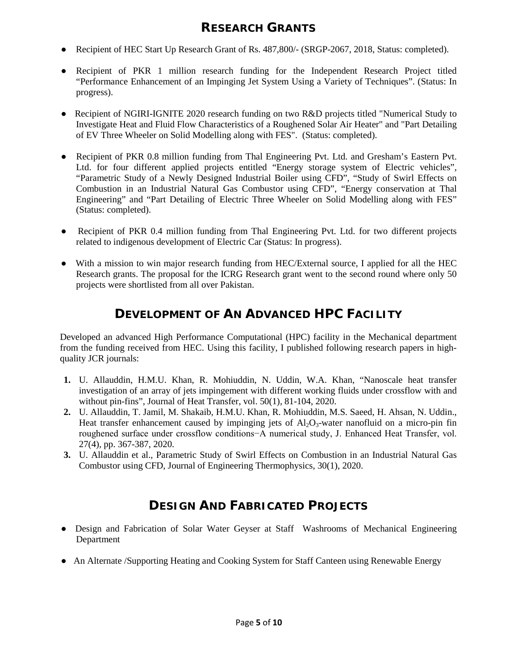## **RESEARCH GRANTS**

- Recipient of HEC Start Up Research Grant of Rs. 487,800/- (SRGP-2067, 2018, Status: completed).
- Recipient of PKR 1 million research funding for the Independent Research Project titled "Performance Enhancement of an Impinging Jet System Using a Variety of Techniques". (Status: In progress).
- Recipient of NGIRI-IGNITE 2020 research funding on two R&D projects titled "Numerical Study to Investigate Heat and Fluid Flow Characteristics of a Roughened Solar Air Heater" and "Part Detailing of EV Three Wheeler on Solid Modelling along with FES". (Status: completed).
- Recipient of PKR 0.8 million funding from Thal Engineering Pvt. Ltd. and Gresham's Eastern Pvt. Ltd. for four different applied projects entitled "Energy storage system of Electric vehicles", "Parametric Study of a Newly Designed Industrial Boiler using CFD", "Study of Swirl Effects on Combustion in an Industrial Natural Gas Combustor using CFD", "Energy conservation at Thal Engineering" and "Part Detailing of Electric Three Wheeler on Solid Modelling along with FES" (Status: completed).
- Recipient of PKR 0.4 million funding from Thal Engineering Pvt. Ltd. for two different projects related to indigenous development of Electric Car (Status: In progress).
- With a mission to win major research funding from HEC/External source, I applied for all the HEC Research grants. The proposal for the ICRG Research grant went to the second round where only 50 projects were shortlisted from all over Pakistan.

## **DEVELOPMENT OF AN ADVANCED HPC FACILITY**

Developed an advanced High Performance Computational (HPC) facility in the Mechanical department from the funding received from HEC. Using this facility, I published following research papers in highquality JCR journals:

- **1.** U. Allauddin, H.M.U. Khan, R. Mohiuddin, N. Uddin, W.A. Khan, "Nanoscale heat transfer investigation of an array of jets impingement with different working fluids under crossflow with and without pin-fins", Journal of Heat Transfer, vol. 50(1), 81-104, 2020.
- **2.** U. Allauddin, T. Jamil, M. Shakaib, H.M.U. Khan, R. Mohiuddin, M.S. Saeed, H. Ahsan, N. Uddin., Heat transfer enhancement caused by impinging jets of  $Al_2O_3$ -water nanofluid on a micro-pin fin roughened surface under crossflow conditions−A numerical study, J. Enhanced Heat Transfer, vol. 27(4), pp. 367-387, 2020.
- **3.** U. Allauddin et al., Parametric Study of Swirl Effects on Combustion in an Industrial Natural Gas Combustor using CFD, Journal of Engineering Thermophysics, 30(1), 2020.

## **DESIGN AND FABRICATED PROJECTS**

- Design and Fabrication of Solar Water Geyser at Staff Washrooms of Mechanical Engineering Department
- An Alternate /Supporting Heating and Cooking System for Staff Canteen using Renewable Energy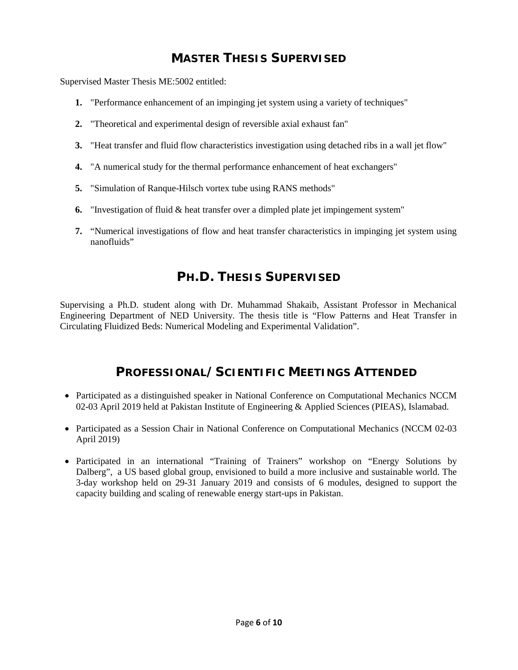## **MASTER THESIS SUPERVISED**

Supervised Master Thesis ME:5002 entitled:

- **1.** "Performance enhancement of an impinging jet system using a variety of techniques"
- **2.** "Theoretical and experimental design of reversible axial exhaust fan"
- **3.** "Heat transfer and fluid flow characteristics investigation using detached ribs in a wall jet flow"
- **4.** "A numerical study for the thermal performance enhancement of heat exchangers"
- **5.** "Simulation of Ranque-Hilsch vortex tube using RANS methods"
- **6.** "Investigation of fluid & heat transfer over a dimpled plate jet impingement system"
- **7.** "Numerical investigations of flow and heat transfer characteristics in impinging jet system using nanofluids"

## **PH.D. THESIS SUPERVISED**

Supervising a Ph.D. student along with Dr. Muhammad Shakaib, Assistant Professor in Mechanical Engineering Department of NED University. The thesis title is "Flow Patterns and Heat Transfer in Circulating Fluidized Beds: Numerical Modeling and Experimental Validation".

## **PROFESSIONAL/SCIENTIFIC MEETINGS ATTENDED**

- Participated as a distinguished speaker in National Conference on Computational Mechanics NCCM 02-03 April 2019 held at Pakistan Institute of Engineering & Applied Sciences (PIEAS), Islamabad.
- Participated as a Session Chair in National Conference on Computational Mechanics (NCCM 02-03 April 2019)
- Participated in an international "Training of Trainers" workshop on "Energy Solutions by Dalberg", a US based global group, envisioned to build a more inclusive and sustainable world. The 3-day workshop held on 29-31 January 2019 and consists of 6 modules, designed to support the capacity building and scaling of renewable energy start-ups in Pakistan.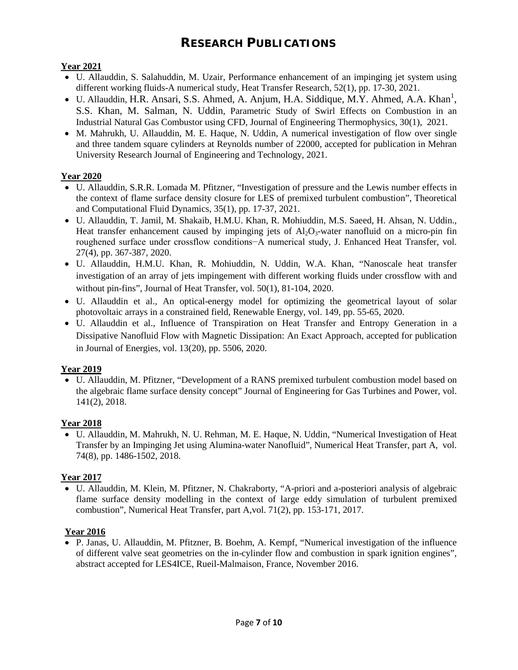## **RESEARCH PUBLICATIONS**

#### **Year 2021**

- U. Allauddin, S. Salahuddin, M. Uzair, Performance enhancement of an impinging jet system using different working fluids-A numerical study, Heat Transfer Research, 52(1), pp. 17-30, 2021.
- $\bullet$  U. Allauddin, H.R. Ansari, S.S. Ahmed, A. Anjum, H.A. Siddique, M.Y. Ahmed, A.A. Khan<sup>1</sup>, S.S. Khan, M. Salman, N. Uddin, Parametric Study of Swirl Effects on Combustion in an Industrial Natural Gas Combustor using CFD, Journal of Engineering Thermophysics, 30(1), 2021.
- M. Mahrukh, U. Allauddin, M. E. Haque, N. Uddin, A numerical investigation of flow over single and three tandem square cylinders at Reynolds number of 22000, accepted for publication in Mehran University Research Journal of Engineering and Technology, 2021.

## **Year 2020**

- U. Allauddin, S.R.R. Lomada M. Pfitzner, "Investigation of pressure and the Lewis number effects in the context of flame surface density closure for LES of premixed turbulent combustion", Theoretical and Computational Fluid Dynamics, 35(1), pp. 17-37, 2021.
- U. Allauddin, T. Jamil, M. Shakaib, H.M.U. Khan, R. Mohiuddin, M.S. Saeed, H. Ahsan, N. Uddin., Heat transfer enhancement caused by impinging jets of  $A_2O_3$ -water nanofluid on a micro-pin fin roughened surface under crossflow conditions−A numerical study, J. Enhanced Heat Transfer, vol. 27(4), pp. 367-387, 2020.
- U. Allauddin, H.M.U. Khan, R. Mohiuddin, N. Uddin, W.A. Khan, "Nanoscale heat transfer investigation of an array of jets impingement with different working fluids under crossflow with and without pin-fins", Journal of Heat Transfer, vol. 50(1), 81-104, 2020.
- U. Allauddin et al., An optical-energy model for optimizing the geometrical layout of solar photovoltaic arrays in a constrained field, Renewable Energy, vol. 149, pp. 55-65, 2020.
- U. Allauddin et al., Influence of Transpiration on Heat Transfer and Entropy Generation in a Dissipative Nanofluid Flow with Magnetic Dissipation: An Exact Approach, accepted for publication in Journal of Energies, vol. 13(20), pp. 5506, 2020.

#### **Year 2019**

• U. Allauddin, M. Pfitzner, "Development of a RANS premixed turbulent combustion model based on the algebraic flame surface density concept" Journal of Engineering for Gas Turbines and Power, vol. 141(2), 2018.

#### **Year 2018**

• U. Allauddin, M. Mahrukh, N. U. Rehman, M. E. Haque, N. Uddin, "Numerical Investigation of Heat Transfer by an Impinging Jet using Alumina-water Nanofluid", Numerical Heat Transfer, part A, vol. 74(8), pp. 1486-1502, 2018.

#### **Year 2017**

• U. Allauddin, M. Klein, M. Pfitzner, N. Chakraborty, "A-priori and a-posteriori analysis of algebraic flame surface density modelling in the context of large eddy simulation of turbulent premixed combustion", Numerical Heat Transfer, part A,vol. 71(2), pp. 153-171, 2017.

## **Year 2016**

• P. Janas, U. Allauddin, M. Pfitzner, B. Boehm, A. Kempf, "Numerical investigation of the influence of different valve seat geometries on the in-cylinder flow and combustion in spark ignition engines", abstract accepted for LES4ICE, Rueil-Malmaison, France, November 2016.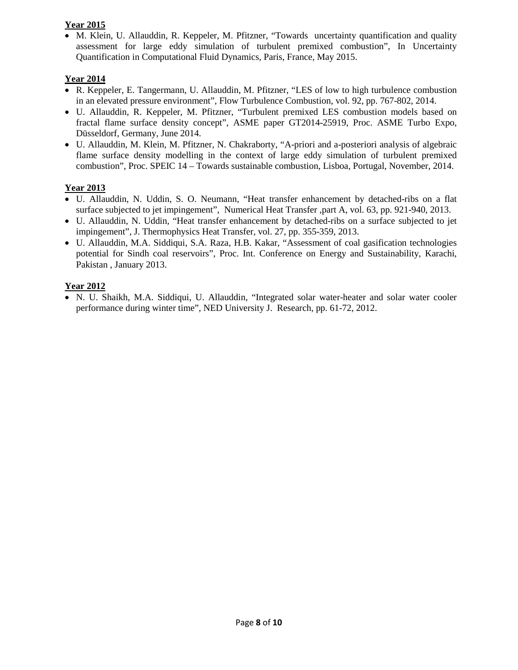#### **Year 2015**

• M. Klein, U. Allauddin, R. Keppeler, M. Pfitzner, "Towards uncertainty quantification and quality assessment for large eddy simulation of turbulent premixed combustion", In Uncertainty Quantification in Computational Fluid Dynamics, Paris, France, May 2015.

## **Year 2014**

- R. Keppeler, E. Tangermann, U. Allauddin, M. Pfitzner, "LES of low to high turbulence combustion in an elevated pressure environment", Flow Turbulence Combustion, vol. 92, pp. 767-802, 2014.
- U. Allauddin, R. Keppeler, M. Pfitzner, "Turbulent premixed LES combustion models based on fractal flame surface density concept", ASME paper GT2014-25919, Proc. ASME Turbo Expo, Düsseldorf, Germany, June 2014.
- U. Allauddin, M. Klein, M. Pfitzner, N. Chakraborty, "A-priori and a-posteriori analysis of algebraic flame surface density modelling in the context of large eddy simulation of turbulent premixed combustion", Proc. SPEIC 14 – Towards sustainable combustion, Lisboa, Portugal, November, 2014.

## **Year 2013**

- U. Allauddin, N. Uddin, S. O. Neumann, "Heat transfer enhancement by detached-ribs on a flat surface subjected to jet impingement", Numerical Heat Transfer ,part A, vol. 63, pp. 921-940, 2013.
- U. Allauddin, N. Uddin, "Heat transfer enhancement by detached-ribs on a surface subjected to jet impingement", J. Thermophysics Heat Transfer, vol. 27, pp. 355-359, 2013.
- U. Allauddin, M.A. Siddiqui, S.A. Raza, H.B. Kakar, "Assessment of coal gasification technologies potential for Sindh coal reservoirs", Proc. Int. Conference on Energy and Sustainability, Karachi, Pakistan , January 2013.

## **Year 2012**

• N. U. Shaikh, M.A. Siddiqui, U. Allauddin, "Integrated solar water-heater and solar water cooler performance during winter time", NED University J. Research, pp. 61-72, 2012.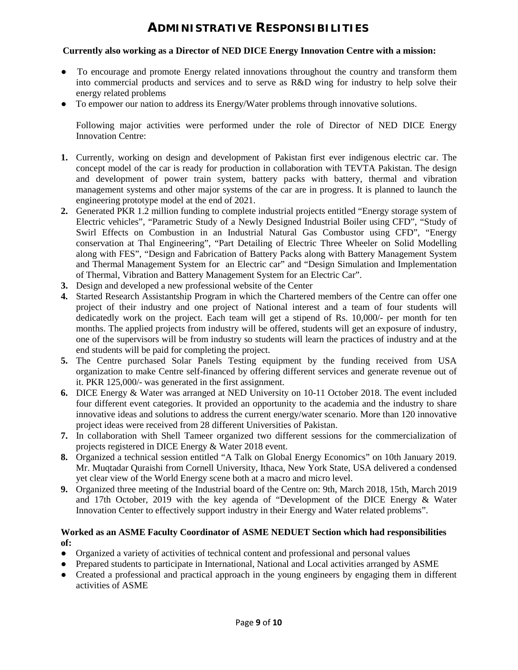## **ADMINISTRATIVE RESPONSIBILITIES**

#### **Currently also working as a Director of NED DICE Energy Innovation Centre with a mission:**

- To encourage and promote Energy related innovations throughout the country and transform them into commercial products and services and to serve as R&D wing for industry to help solve their energy related problems
- To empower our nation to address its Energy/Water problems through innovative solutions.

Following major activities were performed under the role of Director of NED DICE Energy Innovation Centre:

- **1.** Currently, working on design and development of Pakistan first ever indigenous electric car. The concept model of the car is ready for production in collaboration with TEVTA Pakistan. The design and development of power train system, battery packs with battery, thermal and vibration management systems and other major systems of the car are in progress. It is planned to launch the engineering prototype model at the end of 2021.
- **2.** Generated PKR 1.2 million funding to complete industrial projects entitled "Energy storage system of Electric vehicles", "Parametric Study of a Newly Designed Industrial Boiler using CFD", "Study of Swirl Effects on Combustion in an Industrial Natural Gas Combustor using CFD", "Energy conservation at Thal Engineering", "Part Detailing of Electric Three Wheeler on Solid Modelling along with FES", "Design and Fabrication of Battery Packs along with Battery Management System and Thermal Management System for an Electric car" and "Design Simulation and Implementation of Thermal, Vibration and Battery Management System for an Electric Car".
- **3.** Design and developed a new professional website of the Center
- **4.** Started Research Assistantship Program in which the Chartered members of the Centre can offer one project of their industry and one project of National interest and a team of four students will dedicatedly work on the project. Each team will get a stipend of Rs. 10,000/- per month for ten months. The applied projects from industry will be offered, students will get an exposure of industry, one of the supervisors will be from industry so students will learn the practices of industry and at the end students will be paid for completing the project.
- **5.** The Centre purchased Solar Panels Testing equipment by the funding received from USA organization to make Centre self-financed by offering different services and generate revenue out of it. PKR 125,000/- was generated in the first assignment.
- **6.** DICE Energy & Water was arranged at NED University on 10-11 October 2018. The event included four different event categories. It provided an opportunity to the academia and the industry to share innovative ideas and solutions to address the current energy/water scenario. More than 120 innovative project ideas were received from 28 different Universities of Pakistan.
- **7.** In collaboration with Shell Tameer organized two different sessions for the commercialization of projects registered in DICE Energy & Water 2018 event.
- **8.** Organized a technical session entitled "A Talk on Global Energy Economics" on 10th January 2019. Mr. Muqtadar Quraishi from Cornell University, Ithaca, New York State, USA delivered a condensed yet clear view of the World Energy scene both at a macro and micro level.
- **9.** Organized three meeting of the Industrial board of the Centre on: 9th, March 2018, 15th, March 2019 and 17th October, 2019 with the key agenda of "Development of the DICE Energy & Water Innovation Center to effectively support industry in their Energy and Water related problems".

#### **Worked as an ASME Faculty Coordinator of ASME NEDUET Section which had responsibilities of:**

- Organized a variety of activities of technical content and professional and personal values
- Prepared students to participate in International, National and Local activities arranged by ASME
- Created a professional and practical approach in the young engineers by engaging them in different activities of ASME